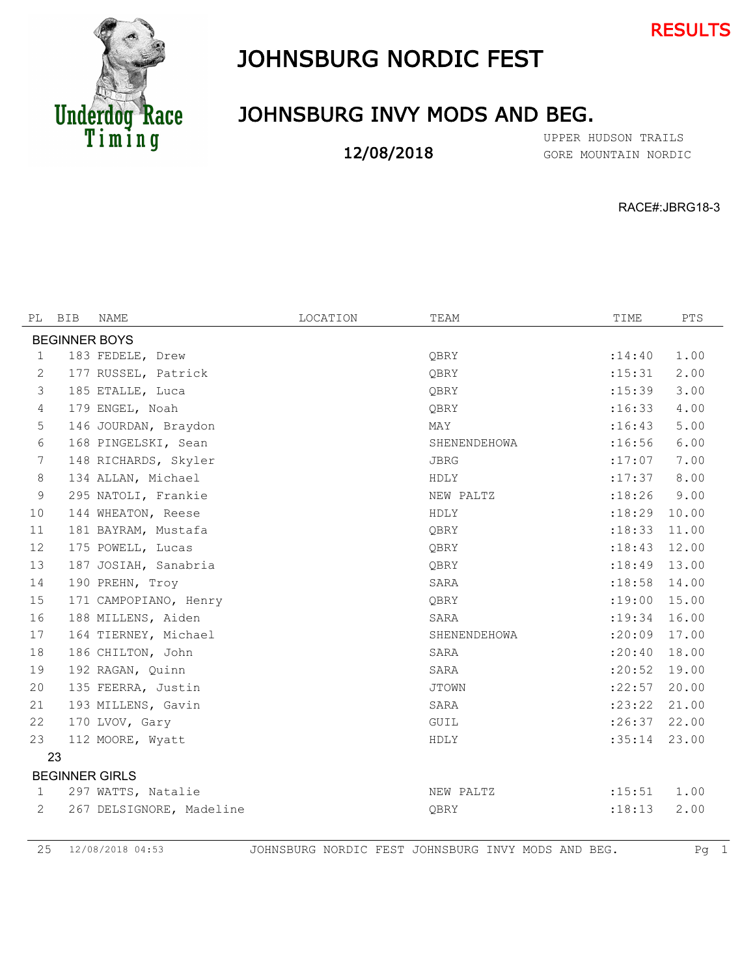



## JOHNSBURG NORDIC FEST

## JOHNSBURG INVY MODS AND BEG.

12/08/2018

GORE MOUNTAIN NORDIC UPPER HUDSON TRAILS

RACE#:JBRG18-3

| PL             | BIB                   | <b>NAME</b>              | LOCATION | TEAM         | TIME    | <b>PTS</b> |  |  |
|----------------|-----------------------|--------------------------|----------|--------------|---------|------------|--|--|
|                |                       |                          |          |              |         |            |  |  |
|                | <b>BEGINNER BOYS</b>  |                          |          |              |         |            |  |  |
| 1              |                       | 183 FEDELE, Drew         |          | OBRY         | : 14:40 | 1.00       |  |  |
| 2              |                       | 177 RUSSEL, Patrick      |          | OBRY         | : 15:31 | 2.00       |  |  |
| 3              |                       | 185 ETALLE, Luca         |          | OBRY         | : 15:39 | 3.00       |  |  |
| $\overline{4}$ |                       | 179 ENGEL, Noah          |          | OBRY         | :16:33  | 4.00       |  |  |
| 5              |                       | 146 JOURDAN, Braydon     |          | MAY          | :16:43  | 5.00       |  |  |
| 6              |                       | 168 PINGELSKI, Sean      |          | SHENENDEHOWA | :16:56  | 6.00       |  |  |
| 7              |                       | 148 RICHARDS, Skyler     |          | <b>JBRG</b>  | :17:07  | 7.00       |  |  |
| 8              |                       | 134 ALLAN, Michael       |          | HDLY         | : 17:37 | 8.00       |  |  |
| 9              |                       | 295 NATOLI, Frankie      |          | NEW PALTZ    | :18:26  | 9.00       |  |  |
| 10             |                       | 144 WHEATON, Reese       |          | HDLY         | : 18:29 | 10.00      |  |  |
| 11             |                       | 181 BAYRAM, Mustafa      |          | OBRY         | : 18:33 | 11.00      |  |  |
| 12             |                       | 175 POWELL, Lucas        |          | OBRY         | : 18:43 | 12.00      |  |  |
| 13             |                       | 187 JOSIAH, Sanabria     |          | OBRY         | : 18:49 | 13.00      |  |  |
| 14             |                       | 190 PREHN, Troy          |          | SARA         | : 18:58 | 14.00      |  |  |
| 15             |                       | 171 CAMPOPIANO, Henry    |          | OBRY         | :19:00  | 15.00      |  |  |
| 16             |                       | 188 MILLENS, Aiden       |          | SARA         | : 19:34 | 16.00      |  |  |
| 17             |                       | 164 TIERNEY, Michael     |          | SHENENDEHOWA | :20:09  | 17.00      |  |  |
| 18             |                       | 186 CHILTON, John        |          | SARA         | : 20:40 | 18.00      |  |  |
| 19             |                       | 192 RAGAN, Ouinn         |          | SARA         | : 20:52 | 19.00      |  |  |
| 20             |                       | 135 FEERRA, Justin       |          | <b>JTOWN</b> | : 22:57 | 20.00      |  |  |
| 21             |                       | 193 MILLENS, Gavin       |          | SARA         | : 23:22 | 21.00      |  |  |
| 22             |                       | 170 LVOV, Gary           |          | <b>GUIL</b>  | : 26:37 | 22.00      |  |  |
| 23             |                       | 112 MOORE, Wyatt         |          | HDLY         | :35:14  | 23.00      |  |  |
|                | 23                    |                          |          |              |         |            |  |  |
|                | <b>BEGINNER GIRLS</b> |                          |          |              |         |            |  |  |
| $\mathbf{1}$   |                       | 297 WATTS, Natalie       |          | NEW PALTZ    | : 15:51 | 1.00       |  |  |
| 2              |                       | 267 DELSIGNORE, Madeline |          | OBRY         | : 18:13 | 2.00       |  |  |
|                |                       |                          |          |              |         |            |  |  |

25 12/08/2018 04:53 JOHNSBURG NORDIC FEST JOHNSBURG INVY MODS AND BEG. Pg 1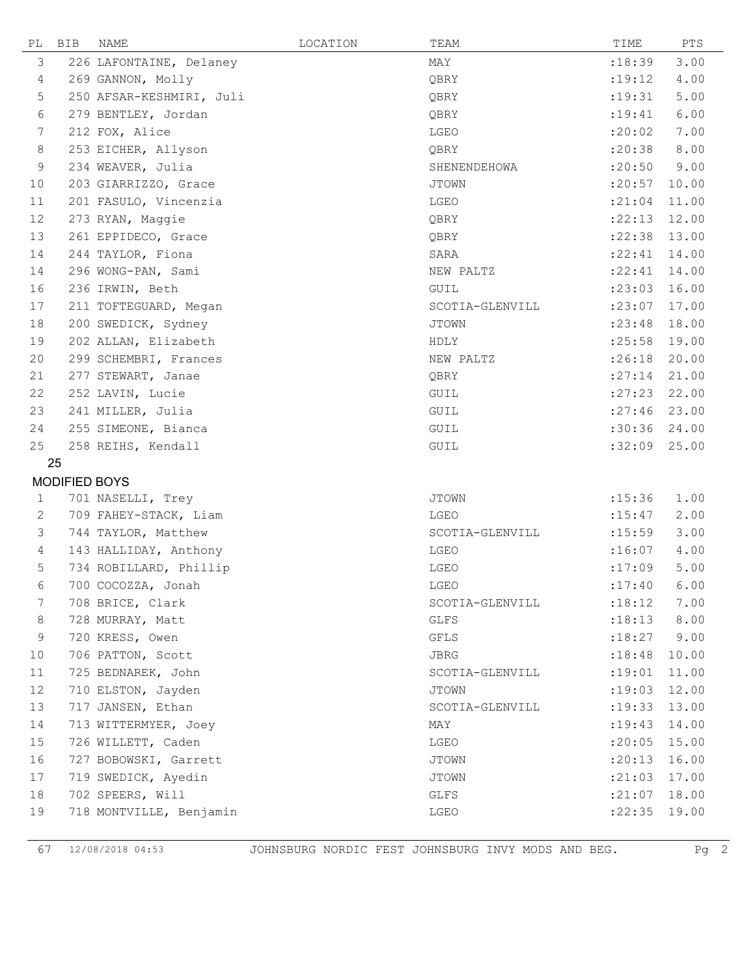| PL           | <b>BIB</b>    | NAME                     | LOCATION | TEAM            | TIME           | PTS   |
|--------------|---------------|--------------------------|----------|-----------------|----------------|-------|
| 3            |               | 226 LAFONTAINE, Delaney  |          | MAY             | : 18:39        | 3.00  |
| 4            |               | 269 GANNON, Molly        |          | QBRY            | : 19:12        | 4.00  |
| 5            |               | 250 AFSAR-KESHMIRI, Juli |          | QBRY            | : 19:31        | 5.00  |
| 6            |               | 279 BENTLEY, Jordan      |          | QBRY            | : 19:41        | 6.00  |
| 7            |               | 212 FOX, Alice           |          | LGEO            | :20:02         | 7.00  |
| 8            |               | 253 EICHER, Allyson      |          | QBRY            | :20:38         | 8.00  |
| 9            |               | 234 WEAVER, Julia        |          | SHENENDEHOWA    | :20:50         | 9.00  |
| 10           |               | 203 GIARRIZZO, Grace     |          | <b>JTOWN</b>    | : 20:57        | 10.00 |
| 11           |               | 201 FASULO, Vincenzia    |          | LGEO            | : 21:04        | 11.00 |
| 12           |               | 273 RYAN, Maggie         |          | QBRY            | :22:13         | 12.00 |
| 13           |               | 261 EPPIDECO, Grace      |          | QBRY            | : 22:38        | 13.00 |
| 14           |               | 244 TAYLOR, Fiona        |          | SARA            | : 22:41        | 14.00 |
| 14           |               | 296 WONG-PAN, Sami       |          | NEW PALTZ       | : 22:41        | 14.00 |
| 16           |               | 236 IRWIN, Beth          |          | GUIL            | : 23:03        | 16.00 |
| 17           |               | 211 TOFTEGUARD, Megan    |          | SCOTIA-GLENVILL | : 23:07        | 17.00 |
| 18           |               | 200 SWEDICK, Sydney      |          | <b>JTOWN</b>    | : 23:48        | 18.00 |
| 19           |               | 202 ALLAN, Elizabeth     |          | HDLY            | : 25:58        | 19.00 |
| 20           |               | 299 SCHEMBRI, Frances    |          | NEW PALTZ       | :26:18         | 20.00 |
| 21           |               | 277 STEWART, Janae       |          | QBRY            | : 27:14        | 21.00 |
| 22           |               | 252 LAVIN, Lucie         |          | GUIL            | : 27:23        | 22.00 |
| 23           |               | 241 MILLER, Julia        |          | GUIL            | : 27:46        | 23.00 |
| 24           |               | 255 SIMEONE, Bianca      |          | GUIL            | :30:36 24.00   |       |
| 25           |               | 258 REIHS, Kendall       |          | GUIL            | :32:09         | 25.00 |
|              | 25            |                          |          |                 |                |       |
|              | MODIFIED BOYS |                          |          |                 |                |       |
| $\mathbf{1}$ |               | 701 NASELLI, Trey        |          | <b>JTOWN</b>    | : 15:36        | 1.00  |
| 2            |               | 709 FAHEY-STACK, Liam    |          | LGEO            | : 15:47        | 2.00  |
| 3            |               | 744 TAYLOR, Matthew      |          | SCOTIA-GLENVILL | : 15:59        | 3.00  |
| 4            |               | 143 HALLIDAY, Anthony    |          | LGEO            | :16:07         | 4.00  |
| 5            |               | 734 ROBILLARD, Phillip   |          | LGEO            | :17:09         | 5.00  |
| 6            |               | 700 COCOZZA, Jonah       |          | LGEO            | : 17:40        | 6.00  |
| 7            |               | 708 BRICE, Clark         |          | SCOTIA-GLENVILL | :18:12         | 7.00  |
| 8            |               | 728 MURRAY, Matt         |          | GLFS            | : 18:13        | 8.00  |
| 9            |               | 720 KRESS, Owen          |          | GFLS            | : 18:27        | 9.00  |
| 10           |               | 706 PATTON, Scott        |          | JBRG            | : 18:48        | 10.00 |
| 11           |               | 725 BEDNAREK, John       |          | SCOTIA-GLENVILL | : 19:01        | 11.00 |
| 12           |               | 710 ELSTON, Jayden       |          | JTOWN           | : 19:03        | 12.00 |
| 13           |               | 717 JANSEN, Ethan        |          | SCOTIA-GLENVILL | : 19:33        | 13.00 |
| 14           |               | 713 WITTERMYER, Joey     |          | MAY             | : 19:43        | 14.00 |
| 15           |               | 726 WILLETT, Caden       |          | LGEO            | :20:05         | 15.00 |
| 16           |               | 727 BOBOWSKI, Garrett    |          | <b>JTOWN</b>    | :20:13         | 16.00 |
| 17           |               | 719 SWEDICK, Ayedin      |          | <b>JTOWN</b>    | : 21:03        | 17.00 |
| 18           |               | 702 SPEERS, Will         |          | GLFS            | $:21:07$ 18.00 |       |
| 19           |               | 718 MONTVILLE, Benjamin  |          | LGEO            | :22:35 19.00   |       |

67 12/08/2018 04:53 JOHNSBURG NORDIC FEST JOHNSBURG INVY MODS AND BEG. Pg 2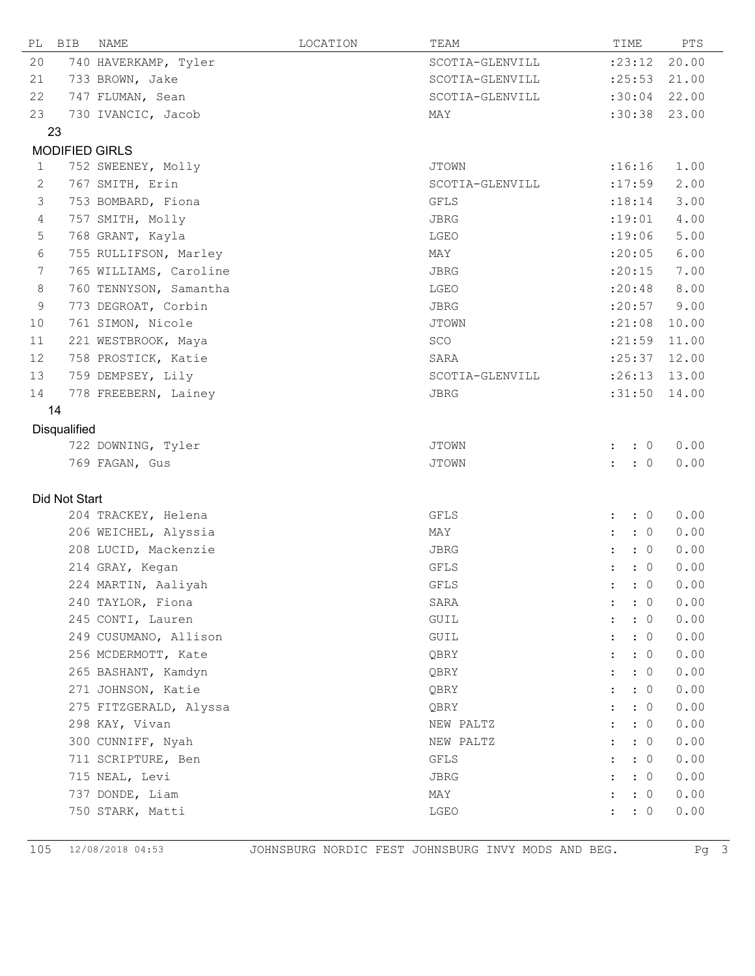| PL             | BIB                   | NAME                   | LOCATION | TEAM            | TIME                               | PTS   |
|----------------|-----------------------|------------------------|----------|-----------------|------------------------------------|-------|
| 20             |                       | 740 HAVERKAMP, Tyler   |          | SCOTIA-GLENVILL | : 23:12                            | 20.00 |
| 21             |                       | 733 BROWN, Jake        |          | SCOTIA-GLENVILL | : 25:53                            | 21.00 |
| 22             |                       | 747 FLUMAN, Sean       |          | SCOTIA-GLENVILL | :30:04                             | 22.00 |
| 23             |                       | 730 IVANCIC, Jacob     |          | MAY             | :30:38                             | 23.00 |
|                | 23                    |                        |          |                 |                                    |       |
|                | <b>MODIFIED GIRLS</b> |                        |          |                 |                                    |       |
| $\mathbf 1$    |                       | 752 SWEENEY, Molly     |          | <b>JTOWN</b>    | :16:16                             | 1.00  |
| 2              |                       | 767 SMITH, Erin        |          | SCOTIA-GLENVILL | :17:59                             | 2.00  |
| 3              |                       | 753 BOMBARD, Fiona     |          | <b>GFLS</b>     | : 18:14                            | 3.00  |
| $\overline{4}$ |                       | 757 SMITH, Molly       |          | JBRG            | : 19:01                            | 4.00  |
| 5              |                       | 768 GRANT, Kayla       |          | LGEO            | :19:06                             | 5.00  |
| 6              |                       | 755 RULLIFSON, Marley  |          | MAY             | : 20:05                            | 6.00  |
| 7              |                       | 765 WILLIAMS, Caroline |          | <b>JBRG</b>     | : 20:15                            | 7.00  |
| 8              |                       | 760 TENNYSON, Samantha |          | LGEO            | : 20:48                            | 8.00  |
| 9              |                       | 773 DEGROAT, Corbin    |          | JBRG            | : 20:57                            | 9.00  |
| 10             |                       | 761 SIMON, Nicole      |          | <b>JTOWN</b>    | : 21:08                            | 10.00 |
| 11             |                       | 221 WESTBROOK, Maya    |          | SCO             | : 21:59                            | 11.00 |
| 12             |                       | 758 PROSTICK, Katie    |          | SARA            | : 25:37                            | 12.00 |
| 13             |                       | 759 DEMPSEY, Lily      |          | SCOTIA-GLENVILL | :26:13                             | 13.00 |
| 14             |                       | 778 FREEBERN, Lainey   |          | JBRG            | :31:50                             | 14.00 |
|                | 14                    |                        |          |                 |                                    |       |
|                | Disqualified          |                        |          |                 |                                    |       |
|                |                       | 722 DOWNING, Tyler     |          | <b>JTOWN</b>    | $\colon 0$<br>$\mathbf{L}$         | 0.00  |
|                |                       | 769 FAGAN, Gus         |          | <b>JTOWN</b>    | $\colon 0$<br>$\mathbf{r}$         | 0.00  |
|                |                       |                        |          |                 |                                    |       |
|                | Did Not Start         |                        |          |                 |                                    |       |
|                |                       | 204 TRACKEY, Helena    |          | GFLS            | $\colon 0$<br>$\ddot{\phantom{a}}$ | 0.00  |
|                |                       | 206 WEICHEL, Alyssia   |          | MAY             | $\colon 0$<br>$\ddot{\phantom{a}}$ | 0.00  |
|                |                       | 208 LUCID, Mackenzie   |          | JBRG            | $\ddot{\phantom{a}}$<br>$\colon 0$ | 0.00  |
|                |                       | 214 GRAY, Kegan        |          | GFLS            | $\colon 0$<br>$\ddot{\phantom{a}}$ | 0.00  |
|                |                       | 224 MARTIN, Aaliyah    |          | GFLS            | $\colon$ $\colon$ 0                | 0.00  |
|                |                       | 240 TAYLOR, Fiona      |          | SARA            | $\colon 0$                         | 0.00  |
|                |                       | 245 CONTI, Lauren      |          | GUIL            | : 0                                | 0.00  |
|                |                       | 249 CUSUMANO, Allison  |          | GUIL            | $\colon 0$                         | 0.00  |
|                |                       | 256 MCDERMOTT, Kate    |          | QBRY            | $\colon 0$                         | 0.00  |
|                |                       | 265 BASHANT, Kamdyn    |          | QBRY            | : 0                                | 0.00  |
|                |                       | 271 JOHNSON, Katie     |          | QBRY            | : 0                                | 0.00  |
|                |                       | 275 FITZGERALD, Alyssa |          | QBRY            | : 0                                | 0.00  |
|                |                       | 298 KAY, Vivan         |          | NEW PALTZ       | $\colon 0$                         | 0.00  |
|                |                       | 300 CUNNIFF, Nyah      |          | NEW PALTZ       | : 0                                | 0.00  |
|                |                       | 711 SCRIPTURE, Ben     |          | GFLS            | : 0                                | 0.00  |
|                |                       | 715 NEAL, Levi         |          | JBRG            | : 0                                | 0.00  |
|                |                       | 737 DONDE, Liam        |          | MAY             | $\colon 0$                         | 0.00  |
|                |                       | 750 STARK, Matti       |          | LGEO            | $\colon 0$                         | 0.00  |

 $\overline{a}$ 

105 12/08/2018 04:53 JOHNSBURG NORDIC FEST JOHNSBURG INVY MODS AND BEG. Pg 3